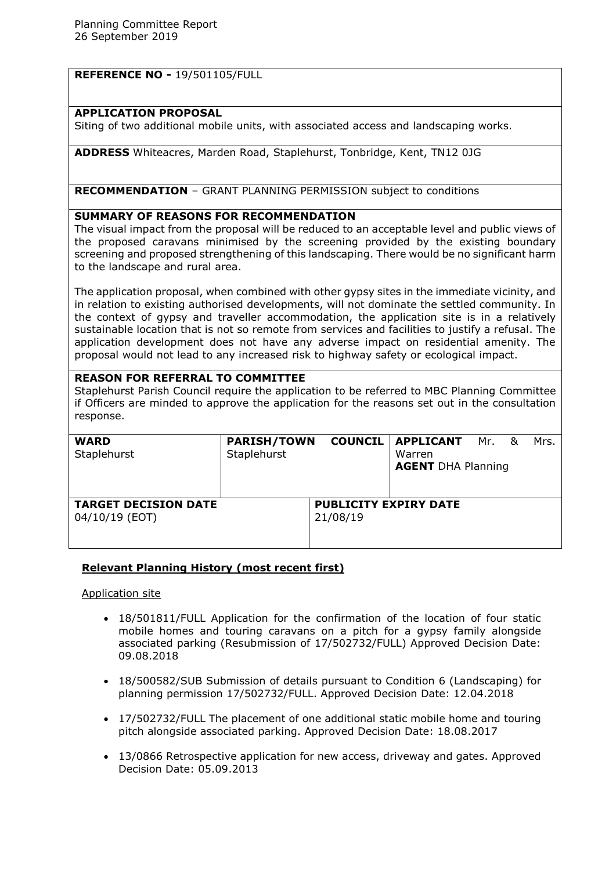# **REFERENCE NO -** 19/501105/FULL

### **APPLICATION PROPOSAL**

Siting of two additional mobile units, with associated access and landscaping works.

**ADDRESS** Whiteacres, Marden Road, Staplehurst, Tonbridge, Kent, TN12 0JG

**RECOMMENDATION** – GRANT PLANNING PERMISSION subject to conditions

## **SUMMARY OF REASONS FOR RECOMMENDATION**

The visual impact from the proposal will be reduced to an acceptable level and public views of the proposed caravans minimised by the screening provided by the existing boundary screening and proposed strengthening of this landscaping. There would be no significant harm to the landscape and rural area.

The application proposal, when combined with other gypsy sites in the immediate vicinity, and in relation to existing authorised developments, will not dominate the settled community. In the context of gypsy and traveller accommodation, the application site is in a relatively sustainable location that is not so remote from services and facilities to justify a refusal. The application development does not have any adverse impact on residential amenity. The proposal would not lead to any increased risk to highway safety or ecological impact.

## **REASON FOR REFERRAL TO COMMITTEE**

Staplehurst Parish Council require the application to be referred to MBC Planning Committee if Officers are minded to approve the application for the reasons set out in the consultation response.

| <b>WARD</b>                 | <b>PARISH/TOWN</b>           |          | <b>COUNCIL   APPLICANT</b> Mr. |  | ୍ୟ | Mrs. |
|-----------------------------|------------------------------|----------|--------------------------------|--|----|------|
| Staplehurst                 | Staplehurst                  |          | Warren                         |  |    |      |
|                             |                              |          | <b>AGENT DHA Planning</b>      |  |    |      |
|                             |                              |          |                                |  |    |      |
|                             |                              |          |                                |  |    |      |
| <b>TARGET DECISION DATE</b> | <b>PUBLICITY EXPIRY DATE</b> |          |                                |  |    |      |
| 04/10/19 (EOT)              |                              | 21/08/19 |                                |  |    |      |
|                             |                              |          |                                |  |    |      |
|                             |                              |          |                                |  |    |      |

# **Relevant Planning History (most recent first)**

#### Application site

- 18/501811/FULL Application for the confirmation of the location of four static mobile homes and touring caravans on a pitch for a gypsy family alongside associated parking (Resubmission of 17/502732/FULL) Approved Decision Date: 09.08.2018
- 18/500582/SUB Submission of details pursuant to Condition 6 (Landscaping) for planning permission 17/502732/FULL. Approved Decision Date: 12.04.2018
- 17/502732/FULL The placement of one additional static mobile home and touring pitch alongside associated parking. Approved Decision Date: 18.08.2017
- 13/0866 Retrospective application for new access, driveway and gates. Approved Decision Date: 05.09.2013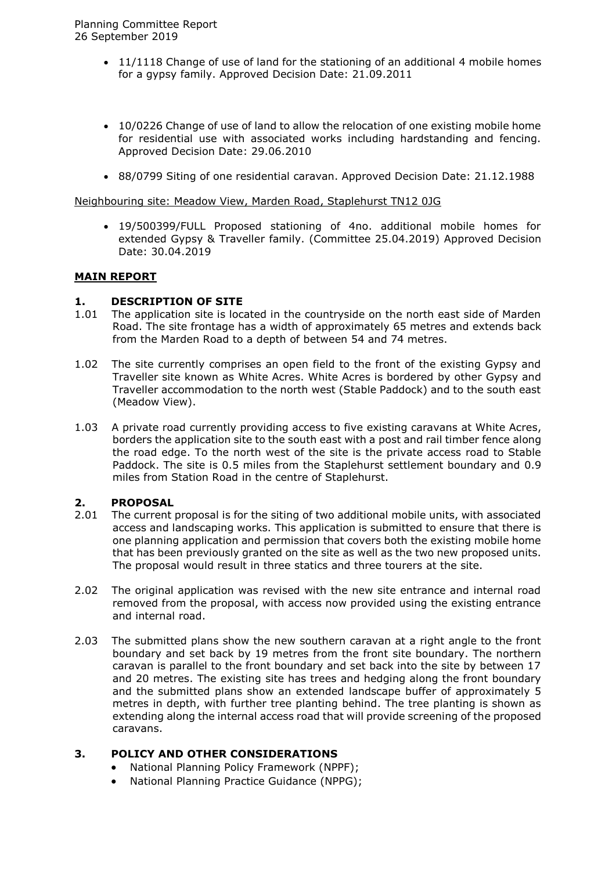- 11/1118 Change of use of land for the stationing of an additional 4 mobile homes for a gypsy family. Approved Decision Date: 21.09.2011
- 10/0226 Change of use of land to allow the relocation of one existing mobile home for residential use with associated works including hardstanding and fencing. Approved Decision Date: 29.06.2010
- 88/0799 Siting of one residential caravan. Approved Decision Date: 21.12.1988

#### Neighbouring site: Meadow View, Marden Road, Staplehurst TN12 0JG

 19/500399/FULL Proposed stationing of 4no. additional mobile homes for extended Gypsy & Traveller family. (Committee 25.04.2019) Approved Decision Date: 30.04.2019

#### **MAIN REPORT**

## **1. DESCRIPTION OF SITE**

- 1.01 The application site is located in the countryside on the north east side of Marden Road. The site frontage has a width of approximately 65 metres and extends back from the Marden Road to a depth of between 54 and 74 metres.
- 1.02 The site currently comprises an open field to the front of the existing Gypsy and Traveller site known as White Acres. White Acres is bordered by other Gypsy and Traveller accommodation to the north west (Stable Paddock) and to the south east (Meadow View).
- 1.03 A private road currently providing access to five existing caravans at White Acres, borders the application site to the south east with a post and rail timber fence along the road edge. To the north west of the site is the private access road to Stable Paddock. The site is 0.5 miles from the Staplehurst settlement boundary and 0.9 miles from Station Road in the centre of Staplehurst.

#### **2. PROPOSAL**

- 2.01 The current proposal is for the siting of two additional mobile units, with associated access and landscaping works. This application is submitted to ensure that there is one planning application and permission that covers both the existing mobile home that has been previously granted on the site as well as the two new proposed units. The proposal would result in three statics and three tourers at the site.
- 2.02 The original application was revised with the new site entrance and internal road removed from the proposal, with access now provided using the existing entrance and internal road.
- 2.03 The submitted plans show the new southern caravan at a right angle to the front boundary and set back by 19 metres from the front site boundary. The northern caravan is parallel to the front boundary and set back into the site by between 17 and 20 metres. The existing site has trees and hedging along the front boundary and the submitted plans show an extended landscape buffer of approximately 5 metres in depth, with further tree planting behind. The tree planting is shown as extending along the internal access road that will provide screening of the proposed caravans.

#### **3. POLICY AND OTHER CONSIDERATIONS**

- National Planning Policy Framework (NPPF);
- National Planning Practice Guidance (NPPG);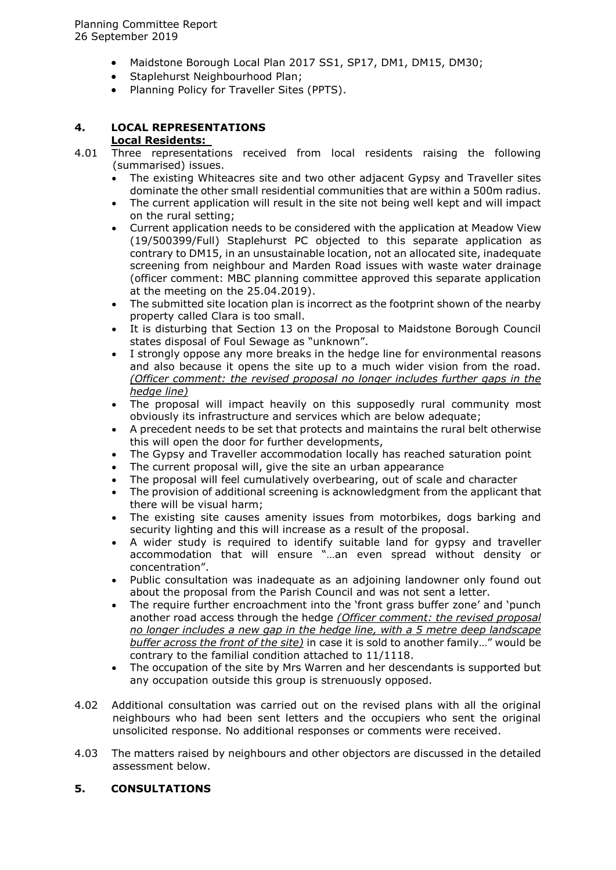- Maidstone Borough Local Plan 2017 SS1, SP17, DM1, DM15, DM30;
- Staplehurst Neighbourhood Plan;
- Planning Policy for Traveller Sites (PPTS).

# **4. LOCAL REPRESENTATIONS**

# **Local Residents:**

- 4.01 Three representations received from local residents raising the following (summarised) issues.
	- The existing Whiteacres site and two other adjacent Gypsy and Traveller sites dominate the other small residential communities that are within a 500m radius.
	- The current application will result in the site not being well kept and will impact on the rural setting;
	- Current application needs to be considered with the application at Meadow View (19/500399/Full) Staplehurst PC objected to this separate application as contrary to DM15, in an unsustainable location, not an allocated site, inadequate screening from neighbour and Marden Road issues with waste water drainage (officer comment: MBC planning committee approved this separate application at the meeting on the 25.04.2019).
	- The submitted site location plan is incorrect as the footprint shown of the nearby property called Clara is too small.
	- It is disturbing that Section 13 on the Proposal to Maidstone Borough Council states disposal of Foul Sewage as "unknown".
	- I strongly oppose any more breaks in the hedge line for environmental reasons and also because it opens the site up to a much wider vision from the road. *(Officer comment: the revised proposal no longer includes further gaps in the hedge line)*
	- The proposal will impact heavily on this supposedly rural community most obviously its infrastructure and services which are below adequate;
	- A precedent needs to be set that protects and maintains the rural belt otherwise this will open the door for further developments,
	- The Gypsy and Traveller accommodation locally has reached saturation point
	- The current proposal will, give the site an urban appearance
	- The proposal will feel cumulatively overbearing, out of scale and character
	- The provision of additional screening is acknowledgment from the applicant that there will be visual harm;
	- The existing site causes amenity issues from motorbikes, dogs barking and security lighting and this will increase as a result of the proposal.
	- A wider study is required to identify suitable land for gypsy and traveller accommodation that will ensure "…an even spread without density or concentration".
	- Public consultation was inadequate as an adjoining landowner only found out about the proposal from the Parish Council and was not sent a letter.
	- The require further encroachment into the 'front grass buffer zone' and 'punch another road access through the hedge *(Officer comment: the revised proposal no longer includes a new gap in the hedge line, with a 5 metre deep landscape buffer across the front of the site)* in case it is sold to another family…" would be contrary to the familial condition attached to 11/1118.
	- The occupation of the site by Mrs Warren and her descendants is supported but any occupation outside this group is strenuously opposed.
- 4.02 Additional consultation was carried out on the revised plans with all the original neighbours who had been sent letters and the occupiers who sent the original unsolicited response. No additional responses or comments were received.
- 4.03 The matters raised by neighbours and other objectors are discussed in the detailed assessment below.

## **5. CONSULTATIONS**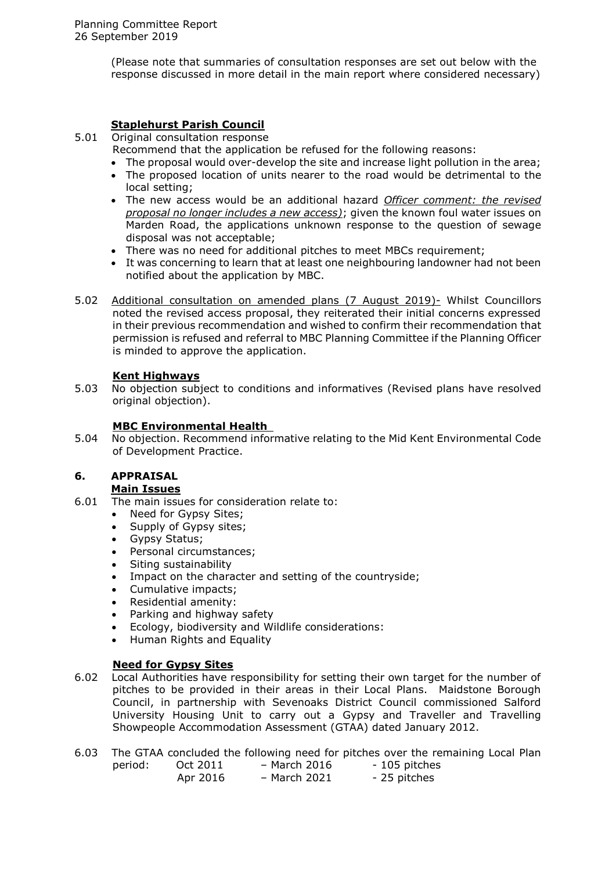(Please note that summaries of consultation responses are set out below with the response discussed in more detail in the main report where considered necessary)

# **Staplehurst Parish Council**

5.01 Original consultation response

Recommend that the application be refused for the following reasons:

- The proposal would over-develop the site and increase light pollution in the area;
- The proposed location of units nearer to the road would be detrimental to the local setting;
- The new access would be an additional hazard *Officer comment: the revised proposal no longer includes a new access)*; given the known foul water issues on Marden Road, the applications unknown response to the question of sewage disposal was not acceptable;
- There was no need for additional pitches to meet MBCs requirement;
- It was concerning to learn that at least one neighbouring landowner had not been notified about the application by MBC.
- 5.02 Additional consultation on amended plans (7 August 2019)- Whilst Councillors noted the revised access proposal, they reiterated their initial concerns expressed in their previous recommendation and wished to confirm their recommendation that permission is refused and referral to MBC Planning Committee if the Planning Officer is minded to approve the application.

## **Kent Highways**

5.03 No objection subject to conditions and informatives (Revised plans have resolved original objection).

## **MBC Environmental Health**

5.04 No objection. Recommend informative relating to the Mid Kent Environmental Code of Development Practice.

# **6. APPRAISAL**

#### **Main Issues**

6.01 The main issues for consideration relate to:

- Need for Gypsy Sites;
- Supply of Gypsy sites;
- Gypsy Status;
- Personal circumstances;
- Siting sustainability
- Impact on the character and setting of the countryside;
- Cumulative impacts;
- Residential amenity:
- Parking and highway safety
- Ecology, biodiversity and Wildlife considerations:
- Human Rights and Equality

# **Need for Gypsy Sites**

- 6.02 Local Authorities have responsibility for setting their own target for the number of pitches to be provided in their areas in their Local Plans. Maidstone Borough Council, in partnership with Sevenoaks District Council commissioned Salford University Housing Unit to carry out a Gypsy and Traveller and Travelling Showpeople Accommodation Assessment (GTAA) dated January 2012.
- 6.03 The GTAA concluded the following need for pitches over the remaining Local Plan period: Oct 2011 – March 2016 - 105 pitches Apr 2016 – March 2021 - 25 pitches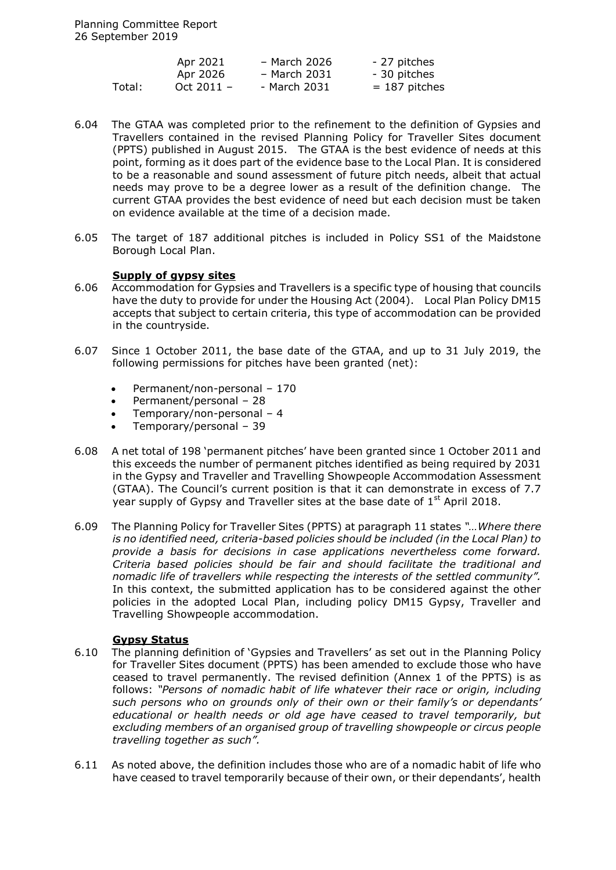|        | Apr 2021     | - March 2026 | - 27 pitches    |
|--------|--------------|--------------|-----------------|
|        | Apr 2026     | - March 2031 | - 30 pitches    |
| Total: | Oct $2011 -$ | - March 2031 | $= 187$ pitches |

- 6.04 The GTAA was completed prior to the refinement to the definition of Gypsies and Travellers contained in the revised Planning Policy for Traveller Sites document (PPTS) published in August 2015. The GTAA is the best evidence of needs at this point, forming as it does part of the evidence base to the Local Plan. It is considered to be a reasonable and sound assessment of future pitch needs, albeit that actual needs may prove to be a degree lower as a result of the definition change. The current GTAA provides the best evidence of need but each decision must be taken on evidence available at the time of a decision made.
- 6.05 The target of 187 additional pitches is included in Policy SS1 of the Maidstone Borough Local Plan.

#### **Supply of gypsy sites**

- 6.06 Accommodation for Gypsies and Travellers is a specific type of housing that councils have the duty to provide for under the Housing Act (2004). Local Plan Policy DM15 accepts that subject to certain criteria, this type of accommodation can be provided in the countryside.
- 6.07 Since 1 October 2011, the base date of the GTAA, and up to 31 July 2019, the following permissions for pitches have been granted (net):
	- Permanent/non-personal 170
	- Permanent/personal 28
	- Temporary/non-personal 4
	- Temporary/personal 39
- 6.08 A net total of 198 'permanent pitches' have been granted since 1 October 2011 and this exceeds the number of permanent pitches identified as being required by 2031 in the Gypsy and Traveller and Travelling Showpeople Accommodation Assessment (GTAA). The Council's current position is that it can demonstrate in excess of 7.7 year supply of Gypsy and Traveller sites at the base date of  $1<sup>st</sup>$  April 2018.
- 6.09 The Planning Policy for Traveller Sites (PPTS) at paragraph 11 states *"…Where there is no identified need, criteria-based policies should be included (in the Local Plan) to provide a basis for decisions in case applications nevertheless come forward. Criteria based policies should be fair and should facilitate the traditional and nomadic life of travellers while respecting the interests of the settled community".* In this context, the submitted application has to be considered against the other policies in the adopted Local Plan, including policy DM15 Gypsy, Traveller and Travelling Showpeople accommodation.

#### **Gypsy Status**

- 6.10 The planning definition of 'Gypsies and Travellers' as set out in the Planning Policy for Traveller Sites document (PPTS) has been amended to exclude those who have ceased to travel permanently. The revised definition (Annex 1 of the PPTS) is as follows: *"Persons of nomadic habit of life whatever their race or origin, including such persons who on grounds only of their own or their family's or dependants' educational or health needs or old age have ceased to travel temporarily, but excluding members of an organised group of travelling showpeople or circus people travelling together as such".*
- 6.11 As noted above, the definition includes those who are of a nomadic habit of life who have ceased to travel temporarily because of their own, or their dependants', health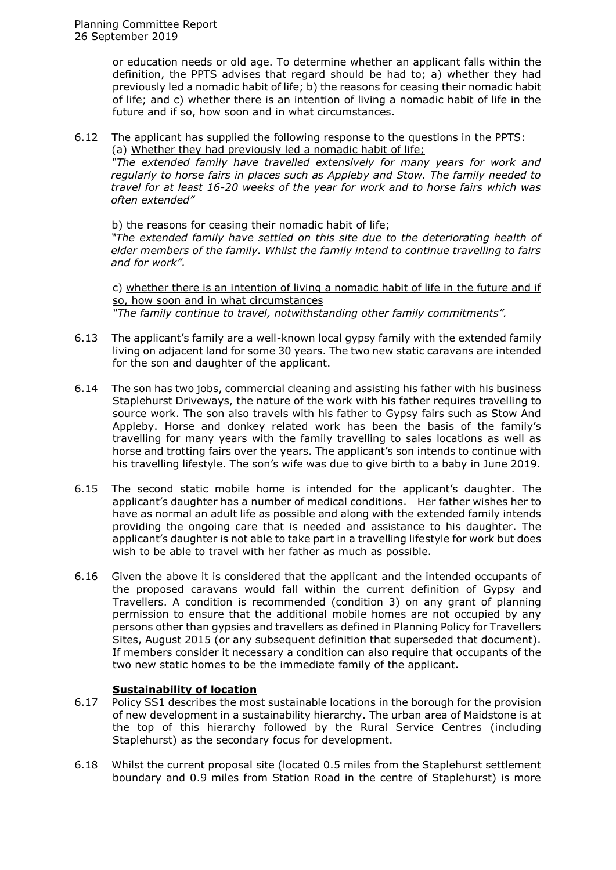or education needs or old age. To determine whether an applicant falls within the definition, the PPTS advises that regard should be had to; a) whether they had previously led a nomadic habit of life; b) the reasons for ceasing their nomadic habit of life; and c) whether there is an intention of living a nomadic habit of life in the future and if so, how soon and in what circumstances.

6.12 The applicant has supplied the following response to the questions in the PPTS: (a) Whether they had previously led a nomadic habit of life;

*"The extended family have travelled extensively for many years for work and regularly to horse fairs in places such as Appleby and Stow. The family needed to travel for at least 16-20 weeks of the year for work and to horse fairs which was often extended"*

b) the reasons for ceasing their nomadic habit of life; *"The extended family have settled on this site due to the deteriorating health of elder members of the family. Whilst the family intend to continue travelling to fairs and for work".*

c) whether there is an intention of living a nomadic habit of life in the future and if so, how soon and in what circumstances *"The family continue to travel, notwithstanding other family commitments".*

- 6.13 The applicant's family are a well-known local gypsy family with the extended family living on adjacent land for some 30 years. The two new static caravans are intended for the son and daughter of the applicant.
- 6.14 The son has two jobs, commercial cleaning and assisting his father with his business Staplehurst Driveways, the nature of the work with his father requires travelling to source work. The son also travels with his father to Gypsy fairs such as Stow And Appleby. Horse and donkey related work has been the basis of the family's travelling for many years with the family travelling to sales locations as well as horse and trotting fairs over the years. The applicant's son intends to continue with his travelling lifestyle. The son's wife was due to give birth to a baby in June 2019.
- 6.15 The second static mobile home is intended for the applicant's daughter. The applicant's daughter has a number of medical conditions. Her father wishes her to have as normal an adult life as possible and along with the extended family intends providing the ongoing care that is needed and assistance to his daughter. The applicant's daughter is not able to take part in a travelling lifestyle for work but does wish to be able to travel with her father as much as possible.
- 6.16 Given the above it is considered that the applicant and the intended occupants of the proposed caravans would fall within the current definition of Gypsy and Travellers. A condition is recommended (condition 3) on any grant of planning permission to ensure that the additional mobile homes are not occupied by any persons other than gypsies and travellers as defined in Planning Policy for Travellers Sites, August 2015 (or any subsequent definition that superseded that document). If members consider it necessary a condition can also require that occupants of the two new static homes to be the immediate family of the applicant.

# **Sustainability of location**

- 6.17 Policy SS1 describes the most sustainable locations in the borough for the provision of new development in a sustainability hierarchy. The urban area of Maidstone is at the top of this hierarchy followed by the Rural Service Centres (including Staplehurst) as the secondary focus for development.
- 6.18 Whilst the current proposal site (located 0.5 miles from the Staplehurst settlement boundary and 0.9 miles from Station Road in the centre of Staplehurst) is more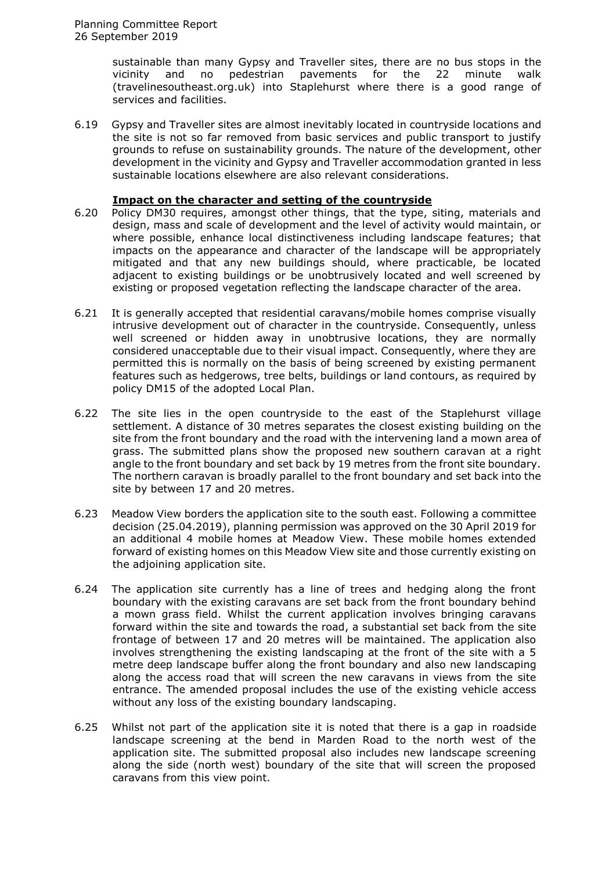sustainable than many Gypsy and Traveller sites, there are no bus stops in the vicinity and no pedestrian pavements for the 22 minute walk (travelinesoutheast.org.uk) into Staplehurst where there is a good range of services and facilities.

6.19 Gypsy and Traveller sites are almost inevitably located in countryside locations and the site is not so far removed from basic services and public transport to justify grounds to refuse on sustainability grounds. The nature of the development, other development in the vicinity and Gypsy and Traveller accommodation granted in less sustainable locations elsewhere are also relevant considerations.

## **Impact on the character and setting of the countryside**

- 6.20 Policy DM30 requires, amongst other things, that the type, siting, materials and design, mass and scale of development and the level of activity would maintain, or where possible, enhance local distinctiveness including landscape features; that impacts on the appearance and character of the landscape will be appropriately mitigated and that any new buildings should, where practicable, be located adjacent to existing buildings or be unobtrusively located and well screened by existing or proposed vegetation reflecting the landscape character of the area.
- 6.21 It is generally accepted that residential caravans/mobile homes comprise visually intrusive development out of character in the countryside. Consequently, unless well screened or hidden away in unobtrusive locations, they are normally considered unacceptable due to their visual impact. Consequently, where they are permitted this is normally on the basis of being screened by existing permanent features such as hedgerows, tree belts, buildings or land contours, as required by policy DM15 of the adopted Local Plan.
- 6.22 The site lies in the open countryside to the east of the Staplehurst village settlement. A distance of 30 metres separates the closest existing building on the site from the front boundary and the road with the intervening land a mown area of grass. The submitted plans show the proposed new southern caravan at a right angle to the front boundary and set back by 19 metres from the front site boundary. The northern caravan is broadly parallel to the front boundary and set back into the site by between 17 and 20 metres.
- 6.23 Meadow View borders the application site to the south east. Following a committee decision (25.04.2019), planning permission was approved on the 30 April 2019 for an additional 4 mobile homes at Meadow View. These mobile homes extended forward of existing homes on this Meadow View site and those currently existing on the adjoining application site.
- 6.24 The application site currently has a line of trees and hedging along the front boundary with the existing caravans are set back from the front boundary behind a mown grass field. Whilst the current application involves bringing caravans forward within the site and towards the road, a substantial set back from the site frontage of between 17 and 20 metres will be maintained. The application also involves strengthening the existing landscaping at the front of the site with a 5 metre deep landscape buffer along the front boundary and also new landscaping along the access road that will screen the new caravans in views from the site entrance. The amended proposal includes the use of the existing vehicle access without any loss of the existing boundary landscaping.
- 6.25 Whilst not part of the application site it is noted that there is a gap in roadside landscape screening at the bend in Marden Road to the north west of the application site. The submitted proposal also includes new landscape screening along the side (north west) boundary of the site that will screen the proposed caravans from this view point.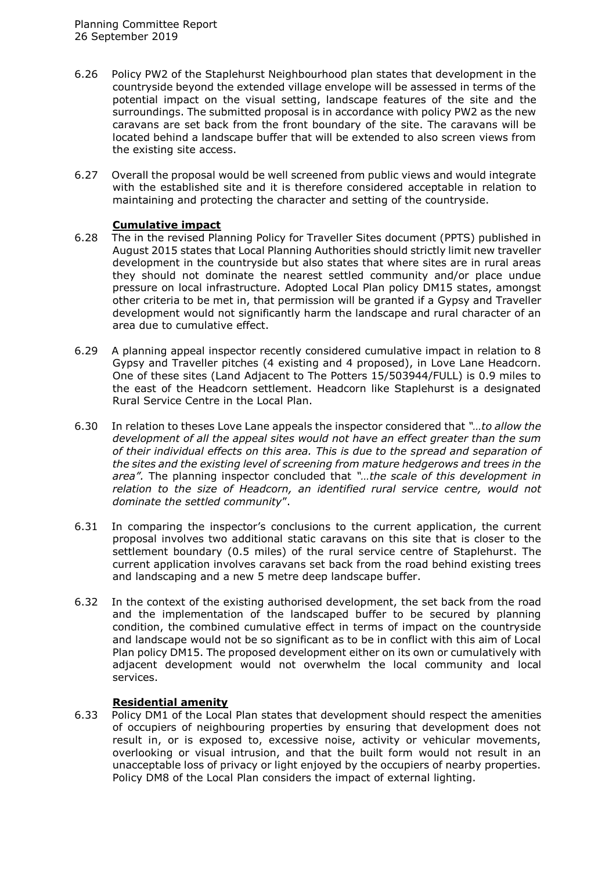- 6.26 Policy PW2 of the Staplehurst Neighbourhood plan states that development in the countryside beyond the extended village envelope will be assessed in terms of the potential impact on the visual setting, landscape features of the site and the surroundings. The submitted proposal is in accordance with policy PW2 as the new caravans are set back from the front boundary of the site. The caravans will be located behind a landscape buffer that will be extended to also screen views from the existing site access.
- 6.27 Overall the proposal would be well screened from public views and would integrate with the established site and it is therefore considered acceptable in relation to maintaining and protecting the character and setting of the countryside.

# **Cumulative impact**

- 6.28 The in the revised Planning Policy for Traveller Sites document (PPTS) published in August 2015 states that Local Planning Authorities should strictly limit new traveller development in the countryside but also states that where sites are in rural areas they should not dominate the nearest settled community and/or place undue pressure on local infrastructure. Adopted Local Plan policy DM15 states, amongst other criteria to be met in, that permission will be granted if a Gypsy and Traveller development would not significantly harm the landscape and rural character of an area due to cumulative effect.
- 6.29 A planning appeal inspector recently considered cumulative impact in relation to 8 Gypsy and Traveller pitches (4 existing and 4 proposed), in Love Lane Headcorn. One of these sites (Land Adjacent to The Potters 15/503944/FULL) is 0.9 miles to the east of the Headcorn settlement. Headcorn like Staplehurst is a designated Rural Service Centre in the Local Plan.
- 6.30 In relation to theses Love Lane appeals the inspector considered that *"…to allow the development of all the appeal sites would not have an effect greater than the sum of their individual effects on this area. This is due to the spread and separation of the sites and the existing level of screening from mature hedgerows and trees in the area".* The planning inspector concluded that *"…the scale of this development in*  relation to the size of Headcorn, an identified rural service centre, would not *dominate the settled community*".
- 6.31 In comparing the inspector's conclusions to the current application, the current proposal involves two additional static caravans on this site that is closer to the settlement boundary (0.5 miles) of the rural service centre of Staplehurst. The current application involves caravans set back from the road behind existing trees and landscaping and a new 5 metre deep landscape buffer.
- 6.32 In the context of the existing authorised development, the set back from the road and the implementation of the landscaped buffer to be secured by planning condition, the combined cumulative effect in terms of impact on the countryside and landscape would not be so significant as to be in conflict with this aim of Local Plan policy DM15. The proposed development either on its own or cumulatively with adjacent development would not overwhelm the local community and local services.

# **Residential amenity**

6.33 Policy DM1 of the Local Plan states that development should respect the amenities of occupiers of neighbouring properties by ensuring that development does not result in, or is exposed to, excessive noise, activity or vehicular movements, overlooking or visual intrusion, and that the built form would not result in an unacceptable loss of privacy or light enjoyed by the occupiers of nearby properties. Policy DM8 of the Local Plan considers the impact of external lighting.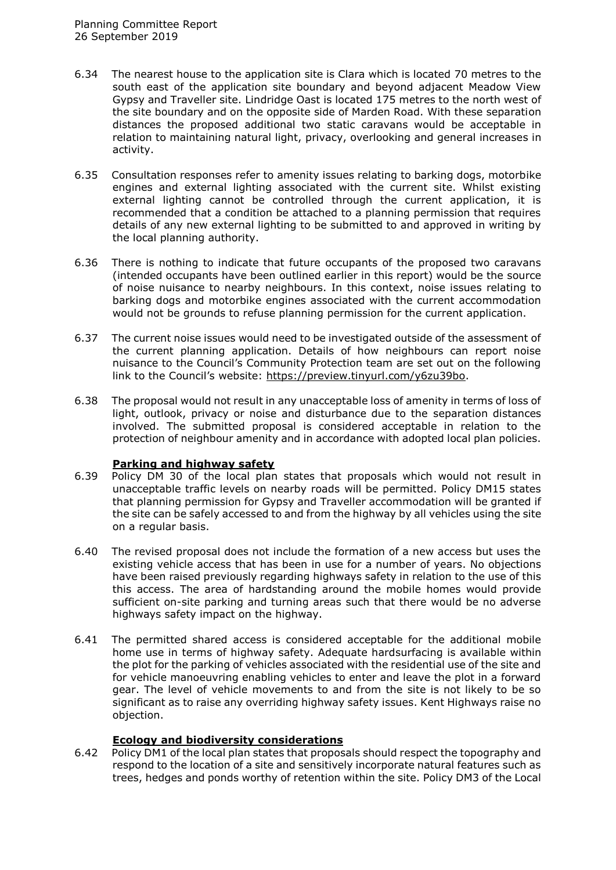- 6.34 The nearest house to the application site is Clara which is located 70 metres to the south east of the application site boundary and beyond adjacent Meadow View Gypsy and Traveller site. Lindridge Oast is located 175 metres to the north west of the site boundary and on the opposite side of Marden Road. With these separation distances the proposed additional two static caravans would be acceptable in relation to maintaining natural light, privacy, overlooking and general increases in activity.
- 6.35 Consultation responses refer to amenity issues relating to barking dogs, motorbike engines and external lighting associated with the current site. Whilst existing external lighting cannot be controlled through the current application, it is recommended that a condition be attached to a planning permission that requires details of any new external lighting to be submitted to and approved in writing by the local planning authority.
- 6.36 There is nothing to indicate that future occupants of the proposed two caravans (intended occupants have been outlined earlier in this report) would be the source of noise nuisance to nearby neighbours. In this context, noise issues relating to barking dogs and motorbike engines associated with the current accommodation would not be grounds to refuse planning permission for the current application.
- 6.37 The current noise issues would need to be investigated outside of the assessment of the current planning application. Details of how neighbours can report noise nuisance to the Council's Community Protection team are set out on the following link to the Council's website: [https://preview.tinyurl.com/y6zu39bo.](https://preview.tinyurl.com/y6zu39bo)
- 6.38 The proposal would not result in any unacceptable loss of amenity in terms of loss of light, outlook, privacy or noise and disturbance due to the separation distances involved. The submitted proposal is considered acceptable in relation to the protection of neighbour amenity and in accordance with adopted local plan policies.

# **Parking and highway safety**

- 6.39 Policy DM 30 of the local plan states that proposals which would not result in unacceptable traffic levels on nearby roads will be permitted. Policy DM15 states that planning permission for Gypsy and Traveller accommodation will be granted if the site can be safely accessed to and from the highway by all vehicles using the site on a regular basis.
- 6.40 The revised proposal does not include the formation of a new access but uses the existing vehicle access that has been in use for a number of years. No objections have been raised previously regarding highways safety in relation to the use of this this access. The area of hardstanding around the mobile homes would provide sufficient on-site parking and turning areas such that there would be no adverse highways safety impact on the highway.
- 6.41 The permitted shared access is considered acceptable for the additional mobile home use in terms of highway safety. Adequate hardsurfacing is available within the plot for the parking of vehicles associated with the residential use of the site and for vehicle manoeuvring enabling vehicles to enter and leave the plot in a forward gear. The level of vehicle movements to and from the site is not likely to be so significant as to raise any overriding highway safety issues. Kent Highways raise no objection.

# **Ecology and biodiversity considerations**

6.42 Policy DM1 of the local plan states that proposals should respect the topography and respond to the location of a site and sensitively incorporate natural features such as trees, hedges and ponds worthy of retention within the site. Policy DM3 of the Local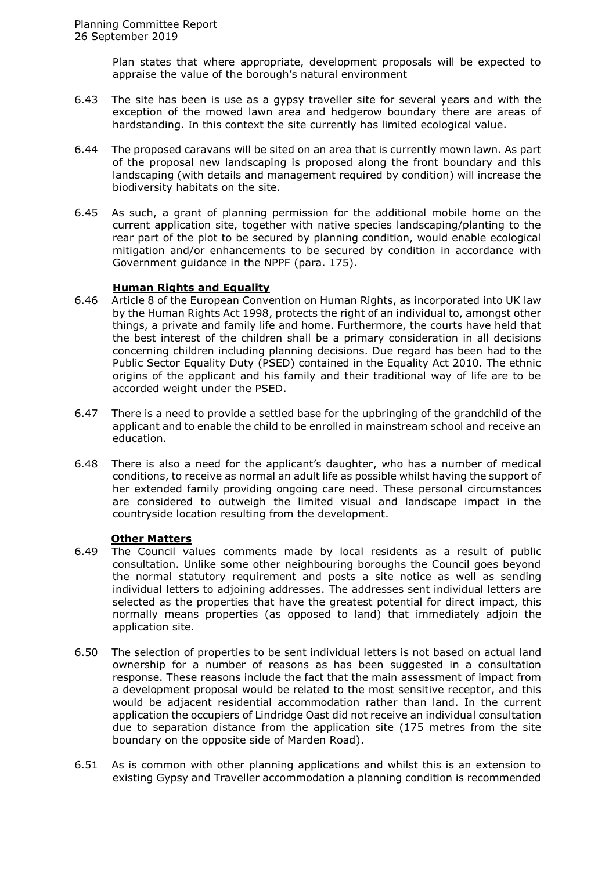Plan states that where appropriate, development proposals will be expected to appraise the value of the borough's natural environment

- 6.43 The site has been is use as a gypsy traveller site for several years and with the exception of the mowed lawn area and hedgerow boundary there are areas of hardstanding. In this context the site currently has limited ecological value.
- 6.44 The proposed caravans will be sited on an area that is currently mown lawn. As part of the proposal new landscaping is proposed along the front boundary and this landscaping (with details and management required by condition) will increase the biodiversity habitats on the site.
- 6.45 As such, a grant of planning permission for the additional mobile home on the current application site, together with native species landscaping/planting to the rear part of the plot to be secured by planning condition, would enable ecological mitigation and/or enhancements to be secured by condition in accordance with Government guidance in the NPPF (para. 175).

#### **Human Rights and Equality**

- 6.46 Article 8 of the European Convention on Human Rights, as incorporated into UK law by the Human Rights Act 1998, protects the right of an individual to, amongst other things, a private and family life and home. Furthermore, the courts have held that the best interest of the children shall be a primary consideration in all decisions concerning children including planning decisions. Due regard has been had to the Public Sector Equality Duty (PSED) contained in the Equality Act 2010. The ethnic origins of the applicant and his family and their traditional way of life are to be accorded weight under the PSED.
- 6.47 There is a need to provide a settled base for the upbringing of the grandchild of the applicant and to enable the child to be enrolled in mainstream school and receive an education.
- 6.48 There is also a need for the applicant's daughter, who has a number of medical conditions, to receive as normal an adult life as possible whilst having the support of her extended family providing ongoing care need. These personal circumstances are considered to outweigh the limited visual and landscape impact in the countryside location resulting from the development.

#### **Other Matters**

- 6.49 The Council values comments made by local residents as a result of public consultation. Unlike some other neighbouring boroughs the Council goes beyond the normal statutory requirement and posts a site notice as well as sending individual letters to adjoining addresses. The addresses sent individual letters are selected as the properties that have the greatest potential for direct impact, this normally means properties (as opposed to land) that immediately adjoin the application site.
- 6.50 The selection of properties to be sent individual letters is not based on actual land ownership for a number of reasons as has been suggested in a consultation response. These reasons include the fact that the main assessment of impact from a development proposal would be related to the most sensitive receptor, and this would be adjacent residential accommodation rather than land. In the current application the occupiers of Lindridge Oast did not receive an individual consultation due to separation distance from the application site (175 metres from the site boundary on the opposite side of Marden Road).
- 6.51 As is common with other planning applications and whilst this is an extension to existing Gypsy and Traveller accommodation a planning condition is recommended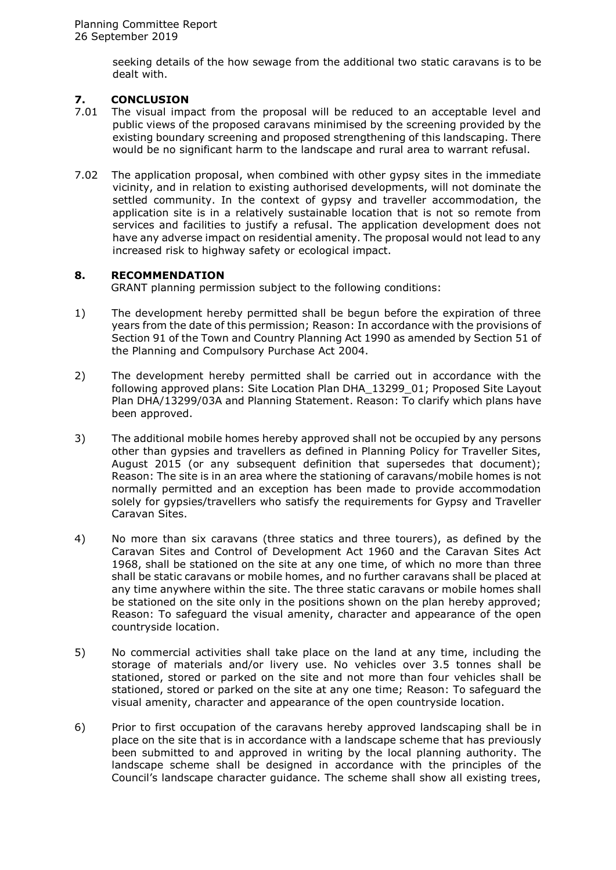seeking details of the how sewage from the additional two static caravans is to be dealt with.

## **7. CONCLUSION**

- 7.01 The visual impact from the proposal will be reduced to an acceptable level and public views of the proposed caravans minimised by the screening provided by the existing boundary screening and proposed strengthening of this landscaping. There would be no significant harm to the landscape and rural area to warrant refusal.
- 7.02 The application proposal, when combined with other gypsy sites in the immediate vicinity, and in relation to existing authorised developments, will not dominate the settled community. In the context of gypsy and traveller accommodation, the application site is in a relatively sustainable location that is not so remote from services and facilities to justify a refusal. The application development does not have any adverse impact on residential amenity. The proposal would not lead to any increased risk to highway safety or ecological impact.

## **8. RECOMMENDATION**

GRANT planning permission subject to the following conditions:

- 1) The development hereby permitted shall be begun before the expiration of three years from the date of this permission; Reason: In accordance with the provisions of Section 91 of the Town and Country Planning Act 1990 as amended by Section 51 of the Planning and Compulsory Purchase Act 2004.
- 2) The development hereby permitted shall be carried out in accordance with the following approved plans: Site Location Plan DHA\_13299\_01; Proposed Site Layout Plan DHA/13299/03A and Planning Statement. Reason: To clarify which plans have been approved.
- 3) The additional mobile homes hereby approved shall not be occupied by any persons other than gypsies and travellers as defined in Planning Policy for Traveller Sites, August 2015 (or any subsequent definition that supersedes that document); Reason: The site is in an area where the stationing of caravans/mobile homes is not normally permitted and an exception has been made to provide accommodation solely for gypsies/travellers who satisfy the requirements for Gypsy and Traveller Caravan Sites.
- 4) No more than six caravans (three statics and three tourers), as defined by the Caravan Sites and Control of Development Act 1960 and the Caravan Sites Act 1968, shall be stationed on the site at any one time, of which no more than three shall be static caravans or mobile homes, and no further caravans shall be placed at any time anywhere within the site. The three static caravans or mobile homes shall be stationed on the site only in the positions shown on the plan hereby approved; Reason: To safeguard the visual amenity, character and appearance of the open countryside location.
- 5) No commercial activities shall take place on the land at any time, including the storage of materials and/or livery use. No vehicles over 3.5 tonnes shall be stationed, stored or parked on the site and not more than four vehicles shall be stationed, stored or parked on the site at any one time; Reason: To safeguard the visual amenity, character and appearance of the open countryside location.
- 6) Prior to first occupation of the caravans hereby approved landscaping shall be in place on the site that is in accordance with a landscape scheme that has previously been submitted to and approved in writing by the local planning authority. The landscape scheme shall be designed in accordance with the principles of the Council's landscape character guidance. The scheme shall show all existing trees,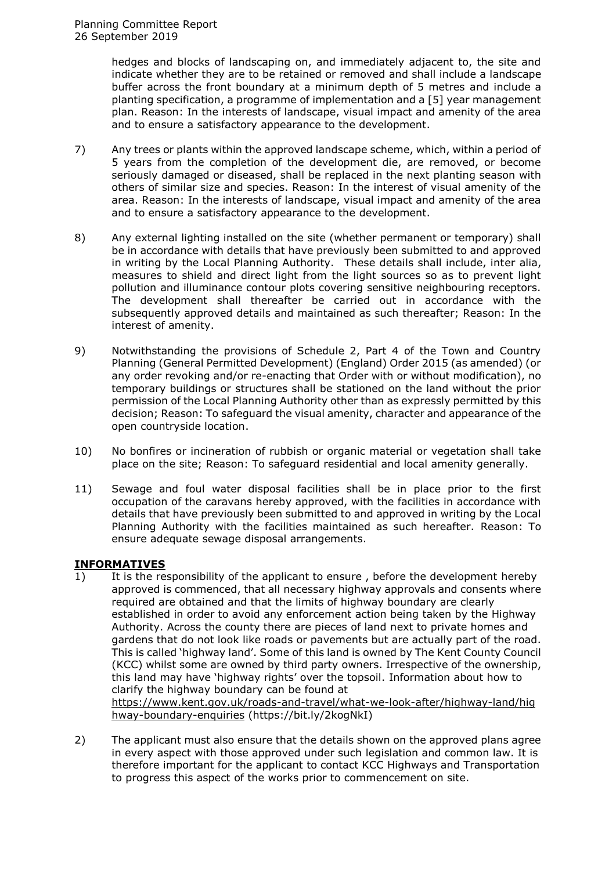hedges and blocks of landscaping on, and immediately adjacent to, the site and indicate whether they are to be retained or removed and shall include a landscape buffer across the front boundary at a minimum depth of 5 metres and include a planting specification, a programme of implementation and a [5] year management plan. Reason: In the interests of landscape, visual impact and amenity of the area and to ensure a satisfactory appearance to the development.

- 7) Any trees or plants within the approved landscape scheme, which, within a period of 5 years from the completion of the development die, are removed, or become seriously damaged or diseased, shall be replaced in the next planting season with others of similar size and species. Reason: In the interest of visual amenity of the area. Reason: In the interests of landscape, visual impact and amenity of the area and to ensure a satisfactory appearance to the development.
- 8) Any external lighting installed on the site (whether permanent or temporary) shall be in accordance with details that have previously been submitted to and approved in writing by the Local Planning Authority. These details shall include, inter alia, measures to shield and direct light from the light sources so as to prevent light pollution and illuminance contour plots covering sensitive neighbouring receptors. The development shall thereafter be carried out in accordance with the subsequently approved details and maintained as such thereafter; Reason: In the interest of amenity.
- 9) Notwithstanding the provisions of Schedule 2, Part 4 of the Town and Country Planning (General Permitted Development) (England) Order 2015 (as amended) (or any order revoking and/or re-enacting that Order with or without modification), no temporary buildings or structures shall be stationed on the land without the prior permission of the Local Planning Authority other than as expressly permitted by this decision; Reason: To safeguard the visual amenity, character and appearance of the open countryside location.
- 10) No bonfires or incineration of rubbish or organic material or vegetation shall take place on the site; Reason: To safeguard residential and local amenity generally.
- 11) Sewage and foul water disposal facilities shall be in place prior to the first occupation of the caravans hereby approved, with the facilities in accordance with details that have previously been submitted to and approved in writing by the Local Planning Authority with the facilities maintained as such hereafter. Reason: To ensure adequate sewage disposal arrangements.

# **INFORMATIVES**

1) It is the responsibility of the applicant to ensure , before the development hereby approved is commenced, that all necessary highway approvals and consents where required are obtained and that the limits of highway boundary are clearly established in order to avoid any enforcement action being taken by the Highway Authority. Across the county there are pieces of land next to private homes and gardens that do not look like roads or pavements but are actually part of the road. This is called 'highway land'. Some of this land is owned by The Kent County Council (KCC) whilst some are owned by third party owners. Irrespective of the ownership, this land may have 'highway rights' over the topsoil. Information about how to clarify the highway boundary can be found at [https://www.kent.gov.uk/roads-and-travel/what-we-look-after/highway-land/hig](https://www.kent.gov.uk/roads-and-travel/what-we-look-after/highway-land/highway-boundary-enquiries)

[hway-boundary-enquiries](https://www.kent.gov.uk/roads-and-travel/what-we-look-after/highway-land/highway-boundary-enquiries) (https://bit.ly/2kogNkI)

2) The applicant must also ensure that the details shown on the approved plans agree in every aspect with those approved under such legislation and common law. It is therefore important for the applicant to contact KCC Highways and Transportation to progress this aspect of the works prior to commencement on site.